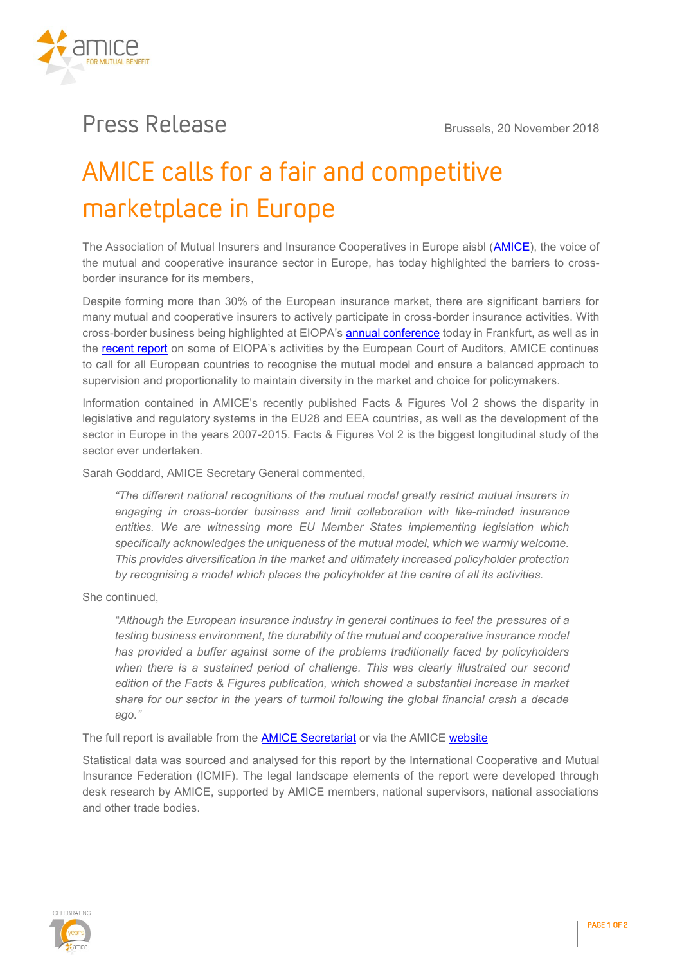

## **Press Release Brussels, 20 November 2018**

# AMICE calls for a fair and competitive marketplace in Europe

**The Association of Mutual Insurers and Insurance Cooperatives in Europe aisbl [\(AMICE\)](http://www.amice-eu.org/), the voice of the mutual and cooperative insurance sector in Europe, has today highlighted the barriers to crossborder insurance for its members,**

**Despite forming more than 30% of the European insurance market, there are significant barriers for many mutual and cooperative insurers to actively participate in cross-border insurance activities. With cross-border business being highlighted at EIOPA's [annual conference](https://eiopa.europa.eu/Pages/Events/Annual-Conference-2018.aspx) today in Frankfurt, as well as in the [recent report](https://www.eca.europa.eu/en/Pages/DocItem.aspx?did=47562) on some of EIOPA's activities by the European Court of Auditors, AMICE continues to call for all European countries to recognise the mutual model and ensure a balanced approach to supervision and proportionality to maintain diversity in the market and choice for policymakers.**

**Information contained in AMICE's recently published Facts & Figures Vol 2 shows the disparity in legislative and regulatory systems in the EU28 and EEA countries, as well as the development of the sector in Europe in the years 2007-2015. Facts & Figures Vol 2 is the biggest longitudinal study of the sector ever undertaken.**

**Sarah Goddard, AMICE Secretary General commented,** 

*"The different national recognitions of the mutual model greatly restrict mutual insurers in engaging in cross-border business and limit collaboration with like-minded insurance entities. We are witnessing more EU Member States implementing legislation which specifically acknowledges the uniqueness of the mutual model, which we warmly welcome. This provides diversification in the market and ultimately increased policyholder protection by recognising a model which places the policyholder at the centre of all its activities.* 

**She continued,**

*"Although the European insurance industry in general continues to feel the pressures of a testing business environment, the durability of the mutual and cooperative insurance model has provided a buffer against some of the problems traditionally faced by policyholders when there is a sustained period of challenge. This was clearly illustrated our second edition of the Facts & Figures publication, which showed a substantial increase in market share for our sector in the years of turmoil following the global financial crash a decade ago."*

**The full report is available from the [AMICE Secretariat](mailto:secretariat@amice-eu.org) or via the AMICE [website](http://www.amice-eu.org/publications/studies_reports.aspx)**

**Statistical data was sourced and analysed for this report by the International Cooperative and Mutual Insurance Federation (ICMIF). The legal landscape elements of the report were developed through desk research by AMICE, supported by AMICE members, national supervisors, national associations and other trade bodies.**